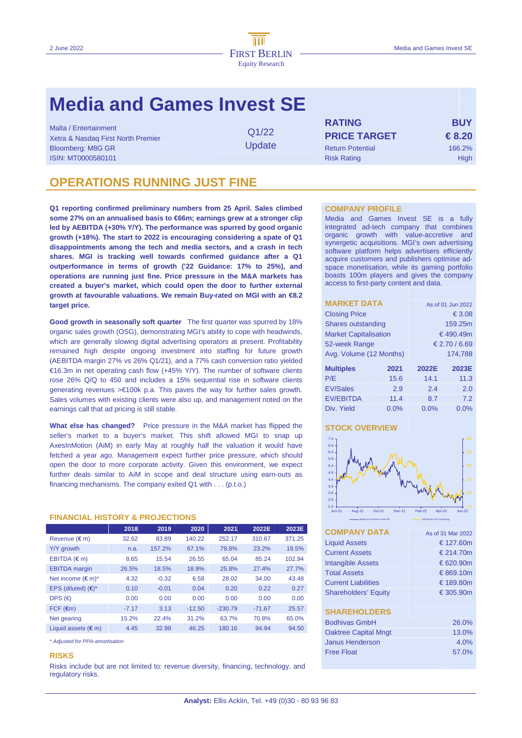# **Media and Games Invest SE**

Malta / Entertainment Q1/22

**Update** 

**RATING BUY** Xetra & Nasdaq First North Premier **PRICE TARGET € 8.20**  Bloomberg: M8G GR Return Potential 166.2% and DDC Return Potential 166.2% ISIN: MT0000580101 Risk Rating High

# **OPERATIONS RUNNING JUST FINE**

**Q1 reporting confirmed preliminary numbers from 25 April. Sales climbed**  some 27% on an annualised basis to €66m; earnings grew at a stronger clip **led by AEBITDA (+30% Y/Y). The performance was spurred by good organic growth (+18%). The start to 2022 is encouraging considering a spate of Q1 disappointments among the tech and media sectors, and a crash in tech shares. MGI is tracking well towards confirmed guidance after a Q1 outperformance in terms of growth ('22 Guidance: 17% to 25%), and operations are running just fine. Price pressure in the M&A markets has created a buyer's market, which could open the door to further external growth at favourable valuations. We remain Buy-rated on MGI with an €8.2 target price.** 

**Good growth in seasonally soft quarter** The first quarter was spurred by 18% organic sales growth (OSG), demonstrating MGI's ability to cope with headwinds, which are generally slowing digital advertising operators at present. Profitability remained high despite ongoing investment into staffing for future growth (AEBITDA margin 27% vs 26% Q1/21), and a 77% cash conversion ratio yielded €16.3m in net operating cash flow (+45% Y/Y). The number of software clients rose 26% Q/Q to 450 and includes a 15% sequential rise in software clients generating revenues >€100k p.a. This paves the way for further sales growth. Sales volumes with existing clients were also up, and management noted on the earnings call that ad pricing is still stable.

**What else has changed?** Price pressure in the M&A market has flipped the seller's market to a buyer's market. This shift allowed MGI to snap up AxesInMotion (AiM) in early May at roughly half the valuation it would have fetched a year ago. Management expect further price pressure, which should open the door to more corporate activity. Given this environment, we expect further deals similar to AiM in scope and deal structure using earn-outs as financing mechanisms. The company exited Q1 with . . . (p.t.o.)

# **FINANCIAL HISTORY & PROJECTIONS**

|                              | 2018    | 2019    | 2020     | 2021      | 2022E    | 2023E  |
|------------------------------|---------|---------|----------|-----------|----------|--------|
| Revenue $(\epsilon m)$       | 32.62   | 83.89   | 140.22   | 252.17    | 310.67   | 371.25 |
| Y/Y growth                   | n.a.    | 157.2%  | 67.1%    | 79.8%     | 23.2%    | 19.5%  |
| EBITDA $(\epsilon m)$        | 8.65    | 15.54   | 26.55    | 65.04     | 85.24    | 102.94 |
| <b>EBITDA</b> margin         | 26.5%   | 18.5%   | 18.9%    | 25.8%     | 27.4%    | 27.7%  |
| Net income $(\epsilon m)^*$  | 4.32    | $-0.32$ | 6.58     | 28.02     | 34.00    | 43.48  |
| EPS (diluted) $(\epsilon)^*$ | 0.10    | $-0.01$ | 0.04     | 0.20      | 0.22     | 0.27   |
| DPS $(\epsilon)$             | 0.00    | 0.00    | 0.00     | 0.00      | 0.00     | 0.00   |
| $FCF$ ( $\epsilon$ m)        | $-7.17$ | 3.13    | $-12.50$ | $-230.79$ | $-71.67$ | 25.57  |
| Net gearing                  | 15.2%   | 22.4%   | 31.2%    | 63.7%     | 70.8%    | 65.0%  |
| Liquid assets $(\epsilon m)$ | 4.45    | 32.98   | 46.25    | 180.16    | 94.94    | 94.50  |

\* Adjusted for PPA-amortisation

## **RISKS**

Risks include but are not limited to: revenue diversity, financing, technology, and regulatory risks.

## **COMPANY PROFILE**

Media and Games Invest SE is a fully integrated ad-tech company that combines organic growth with value-accretive and synergetic acquisitions. MGI's own advertising software platform helps advertisers efficiently acquire customers and publishers optimise adspace monetisation, while its gaming portfolio boasts 100m players and gives the company access to first-party content and data.

| <b>MARKET DATA</b>           |        | As of 01 Jun 2022 |          |  |  |  |
|------------------------------|--------|-------------------|----------|--|--|--|
| <b>Closing Price</b>         | € 3.08 |                   |          |  |  |  |
| Shares outstanding           |        | 159.25m           |          |  |  |  |
| <b>Market Capitalisation</b> |        |                   | €490.49m |  |  |  |
| 52-week Range                |        | € 2.70 / 6.69     |          |  |  |  |
| Avg. Volume (12 Months)      |        | 174.788           |          |  |  |  |
|                              |        |                   |          |  |  |  |
| <b>Multiples</b>             | 2021   | 2022E             | 2023E    |  |  |  |
| P/E                          | 15.6   | 14.1              | 11.3     |  |  |  |
| <b>EV/Sales</b>              | 2.9    | 2.4<br>2.0        |          |  |  |  |
| <b>EV/EBITDA</b>             | 11.4   | 8.7               | 7.2      |  |  |  |
| Div. Yield                   | 0.0%   | 0.0%<br>0.0%      |          |  |  |  |

# **STOCK OVERVIEW**



| <b>COMPANY DATA</b>         | As of 31 Mar 2022 |
|-----------------------------|-------------------|
| <b>Liquid Assets</b>        | € 127.60m         |
| <b>Current Assets</b>       | € 214.70m         |
| <b>Intangible Assets</b>    | € 620.90m         |
| <b>Total Assets</b>         | € 869.10m         |
| <b>Current Liabilities</b>  | € 189.80m         |
| <b>Shareholders' Equity</b> | € 305.90m         |
|                             |                   |
| <b>SHAREHOLDERS</b>         |                   |
| <b>Bodhivas GmbH</b>        | 26.0%             |
| <b>Oaktree Capital Mngt</b> | 13.0%             |
| Janus Henderson             | 4.0%              |
| <b>Free Float</b>           | 57.0%             |
|                             |                   |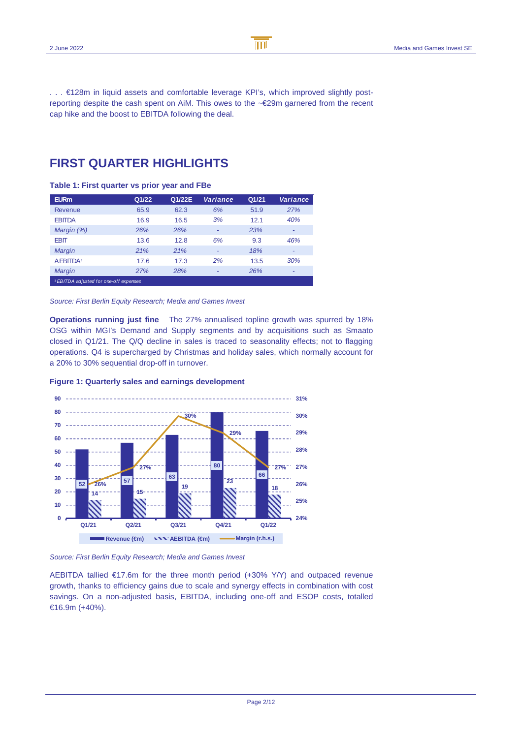$\overline{\text{m}}$ B

. . . €128m in liquid assets and comfortable leverage KPI's, which improved slightly postreporting despite the cash spent on AiM. This owes to the ~€29m garnered from the recent cap hike and the boost to EBITDA following the deal.

# **FIRST QUARTER HIGHLIGHTS**

**Table 1: First quarter vs prior year and FBe** 

| <b>EURm</b>                                       | Q1/22 | Q1/22E | Variance | Q1/21 | Variance |
|---------------------------------------------------|-------|--------|----------|-------|----------|
| <b>Revenue</b>                                    | 65.9  | 62.3   | 6%       | 51.9  | 27%      |
| <b>EBITDA</b>                                     | 16.9  | 16.5   | 3%       | 12.1  | 40%      |
| Margin (%)                                        | 26%   | 26%    | -        | 23%   | ۰        |
| <b>EBIT</b>                                       | 13.6  | 12.8   | 6%       | 9.3   | 46%      |
| Margin                                            | 21%   | 21%    | -        | 18%   |          |
| AEBITDA <sup>1</sup>                              | 17.6  | 17.3   | 2%       | 13.5  | 30%      |
| Margin                                            | 27%   | 28%    | -        | 26%   | -        |
| <sup>1</sup> EBITDA adjusted for one-off expenses |       |        |          |       |          |

## Source: First Berlin Equity Research; Media and Games Invest

**Operations running just fine** The 27% annualised topline growth was spurred by 18% OSG within MGI's Demand and Supply segments and by acquisitions such as Smaato closed in Q1/21. The Q/Q decline in sales is traced to seasonality effects; not to flagging operations. Q4 is supercharged by Christmas and holiday sales, which normally account for a 20% to 30% sequential drop-off in turnover.



## **Figure 1: Quarterly sales and earnings development**

Source: First Berlin Equity Research; Media and Games Invest

AEBITDA tallied  $E17.6m$  for the three month period (+30% Y/Y) and outpaced revenue growth, thanks to efficiency gains due to scale and synergy effects in combination with cost savings. On a non-adjusted basis, EBITDA, including one-off and ESOP costs, totalled €16.9m (+40%).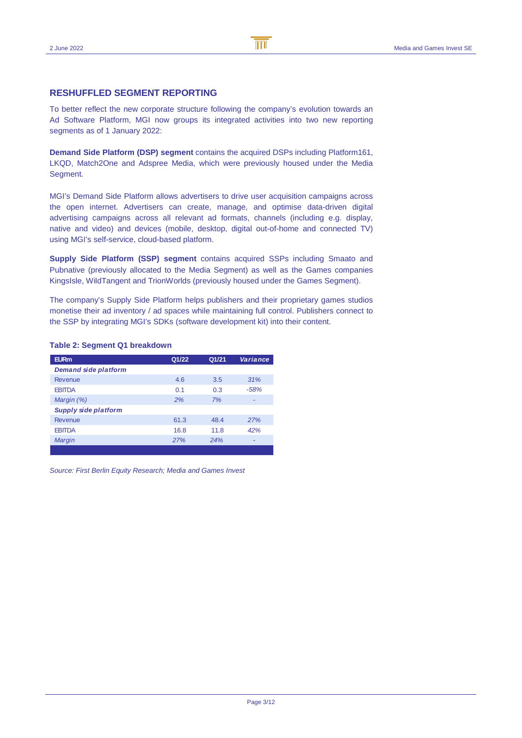# **RESHUFFLED SEGMENT REPORTING**

To better reflect the new corporate structure following the company's evolution towards an Ad Software Platform, MGI now groups its integrated activities into two new reporting segments as of 1 January 2022:

**Demand Side Platform (DSP) segment** contains the acquired DSPs including Platform161, LKQD, Match2One and Adspree Media, which were previously housed under the Media Seament.

MGI's Demand Side Platform allows advertisers to drive user acquisition campaigns across the open internet. Advertisers can create, manage, and optimise data-driven digital advertising campaigns across all relevant ad formats, channels (including e.g. display, native and video) and devices (mobile, desktop, digital out-of-home and connected TV) using MGI's self-service, cloud-based platform.

**Supply Side Platform (SSP) segment** contains acquired SSPs including Smaato and Pubnative (previously allocated to the Media Segment) as well as the Games companies KingsIsle, WildTangent and TrionWorlds (previously housed under the Games Segment).

The company's Supply Side Platform helps publishers and their proprietary games studios monetise their ad inventory / ad spaces while maintaining full control. Publishers connect to the SSP by integrating MGI's SDKs (software development kit) into their content.

## **Table 2: Segment Q1 breakdown**

| <b>EURm</b>                 | Q1/22 | Q1/21 | <b>Variance</b> |
|-----------------------------|-------|-------|-----------------|
| <b>Demand side platform</b> |       |       |                 |
| Revenue                     | 4.6   | 3.5   | 31%             |
| <b>EBITDA</b>               | 0.1   | 0.3   | $-58%$          |
| Margin (%)                  | 2%    | 7%    | -               |
| Supply side platform        |       |       |                 |
| Revenue                     | 61.3  | 48.4  | 27%             |
| <b>EBITDA</b>               | 16.8  | 11.8  | 42%             |
| Margin                      | 27%   | 24%   |                 |
|                             |       |       |                 |

Source: First Berlin Equity Research; Media and Games Invest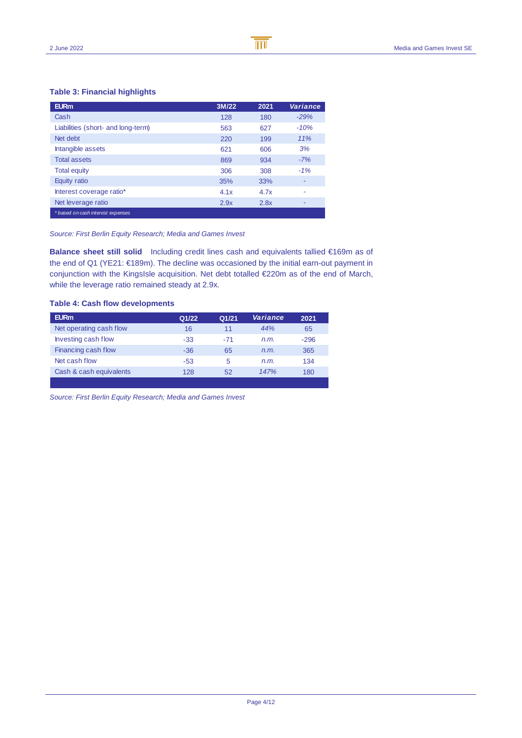# **Table 3: Financial highlights**

| <b>EURm</b>                        | 3M/22 | 2021 | Variance |
|------------------------------------|-------|------|----------|
| Cash                               | 128   | 180  | $-29%$   |
| Liabilities (short- and long-term) | 563   | 627  | $-10%$   |
| Net debt                           | 220   | 199  | 11%      |
| Intangible assets                  | 621   | 606  | 3%       |
| <b>Total assets</b>                | 869   | 934  | $-7%$    |
| <b>Total equity</b>                | 306   | 308  | $-1%$    |
| Equity ratio                       | 35%   | 33%  | ۰        |
| Interest coverage ratio*           | 4.1x  | 4.7x | ٠        |
| Net leverage ratio                 | 2.9x  | 2.8x | ۰        |
| * based on cash interest expenses  |       |      |          |

## Source: First Berlin Equity Research; Media and Games Invest

**Balance sheet still solid** Including credit lines cash and equivalents tallied €169m as of the end of Q1 (YE21: €189m). The decline was occasioned by the initial earn-out payment in conjunction with the KingsIsle acquisition. Net debt totalled €220m as of the end of March, while the leverage ratio remained steady at 2.9x.

B

 $\overline{\mathbb{m}}$ 

# **Table 4: Cash flow developments**

| <b>EURm</b>             | Q1/22 | Q1/21 | Variance | 2021   |
|-------------------------|-------|-------|----------|--------|
| Net operating cash flow | 16    | 11    | 44%      | 65     |
| Investing cash flow     | $-33$ | $-71$ | n.m.     | $-296$ |
| Financing cash flow     | $-36$ | 65    | n.m.     | 365    |
| Net cash flow           | -53   | 5     | n.m.     | 134    |
| Cash & cash equivalents | 128   | 52    | 147%     | 180    |
|                         |       |       |          |        |

Source: First Berlin Equity Research; Media and Games Invest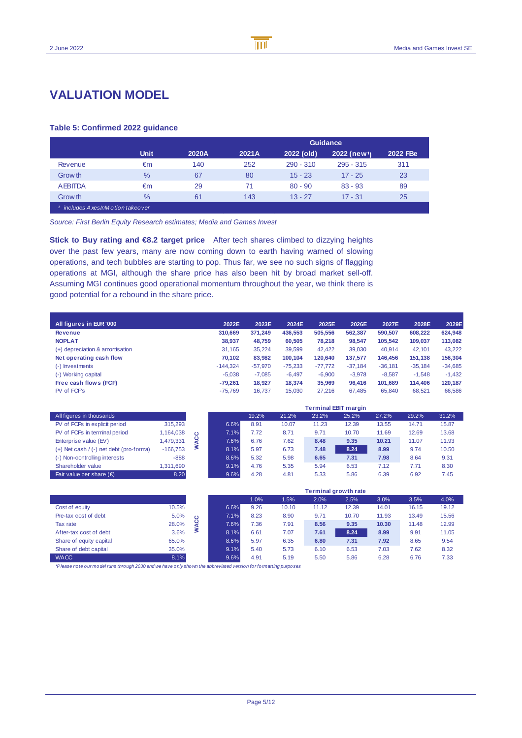# **VALUATION MODEL**

# **Table 5: Confirmed 2022 guidance**

|                                    |               |       |       |             | <b>Guidance</b>          |          |
|------------------------------------|---------------|-------|-------|-------------|--------------------------|----------|
|                                    | <b>Unit</b>   | 2020A | 2021A | 2022 (old)  | 2022 (new <sup>1</sup> ) | 2022 FBe |
| Revenue                            | €m            | 140   | 252   | $290 - 310$ | $295 - 315$              | 311      |
| Grow th                            | $\%$          | 67    | 80    | $15 - 23$   | $17 - 25$                | 23       |
| <b>AEBITDA</b>                     | €m            | 29    | 71    | $80 - 90$   | $83 - 93$                | 89       |
| Grow th                            | $\frac{0}{6}$ | 61    | 143   | $13 - 27$   | $17 - 31$                | 25       |
| includes A xes InM o tion takeover |               |       |       |             |                          |          |

B

 $\overline{\mathsf{m}}$ 

Source: First Berlin Equity Research estimates; Media and Games Invest

**Stick to Buy rating and €8.2 target price** After tech shares climbed to dizzying heights over the past few years, many are now coming down to earth having warned of slowing operations, and tech bubbles are starting to pop. Thus far, we see no such signs of flagging operations at MGI, although the share price has also been hit by broad market sell-off. Assuming MGI continues good operational momentum throughout the year, we think there is good potential for a rebound in the share price.

| All figures in EUR '000         | 2022E      | 2023E     | 2024E     | 2025E     | 2026E     | 2027E     | 2028E     | 2029E     |
|---------------------------------|------------|-----------|-----------|-----------|-----------|-----------|-----------|-----------|
| <b>Revenue</b>                  | 310.669    | 371,249   | 436.553   | 505.556   | 562.387   | 590.507   | 608.222   | 624,948   |
| <b>NOPLAT</b>                   | 38,937     | 48,759    | 60,505    | 78.218    | 98,547    | 105.542   | 109,037   | 113,082   |
| (+) depreciation & amortisation | 31.165     | 35.224    | 39,599    | 42.422    | 39,030    | 40.914    | 42.101    | 43.222    |
| Net operating cash flow         | 70.102     | 83,982    | 100.104   | 120,640   | 137.577   | 146.456   | 151.138   | 156,304   |
| (-) Investments                 | $-144.324$ | $-57,970$ | $-75,233$ | $-77,772$ | $-37,184$ | $-36,181$ | $-35,184$ | $-34,685$ |
| (-) Working capital             | $-5.038$   | $-7.085$  | $-6.497$  | $-6.900$  | $-3.978$  | $-8.587$  | $-1.548$  | $-1.432$  |
| Free cash flows (FCF)           | $-79.261$  | 18,927    | 18.374    | 35.969    | 96.416    | 101.689   | 114,406   | 120,187   |
| PV of FCF's                     | $-75.769$  | 16.737    | 15,030    | 27,216    | 67,485    | 65,840    | 68,521    | 66,586    |

|                                             |            |   |      |       |       |       | <b>Terminal EBIT margin</b> |       |       |       |
|---------------------------------------------|------------|---|------|-------|-------|-------|-----------------------------|-------|-------|-------|
| All figures in thousands                    |            |   |      | 19.2% | 21.2% | 23.2% | 25.2%                       | 27.2% | 29.2% | 31.2% |
| PV of FCFs in explicit period               | 315.293    |   | 6.6% | 8.91  | 10.07 | 11.23 | 12.39                       | 13.55 | 14.71 | 15.87 |
| PV of FCFs in terminal period               | 1,164,038  | ە | 7.1% | 7.72  | 8.71  | 9.71  | 10.70                       | 11.69 | 12.69 | 13.68 |
| Enterprise value (EV)                       | A79,331    | ပ | 7.6% | 6.76  | 7.62  | 8.48  | 9.35                        | 10.21 | 11.07 | 11.93 |
| $(+)$ Net cash $/$ (-) net debt (pro-forma) | $-166.753$ |   | 8.1% | 5.97  | 6.73  | 7.48  | 8.24                        | 8.99  | 9.74  | 10.50 |
| (-) Non-controlling interests               | $-888$     |   | 8.6% | 5.32  | 5.98  | 6.65  | 7.31                        | 7.98  | 8.64  | 9.31  |
| Shareholder value                           | 1,311,690  |   | 9.1% | 4.76  | 5.35  | 5.94  | 6.53                        | 7.12  | 7.71  | 8.30  |
| Fair value per share $(\epsilon)$           | 8.20       |   | 9.6% | 4.28  | 4.81  | 5.33  | 5.86                        | 6.39  | 6.92  | 7.45  |

|                         |       |         |      |      |       |       | <b>Terminal growth rate</b> |       |       |       |
|-------------------------|-------|---------|------|------|-------|-------|-----------------------------|-------|-------|-------|
|                         |       |         |      | 1.0% | 1.5%  | 2.0%  | 2.5%                        | 3.0%  | 3.5%  | 4.0%  |
| Cost of equity          | 10.5% |         | 6.6% | 9.26 | 10.10 | 11.12 | 12.39                       | 14.01 | 16.15 | 19.12 |
| Pre-tax cost of debt    | 5.0%  | $\circ$ | 7.1% | 8.23 | 8.90  | 9.71  | 10.70                       | 11.93 | 13.49 | 15.56 |
| Tax rate                | 28.0% | ပ       | 7.6% | 7.36 | 7.91  | 8.56  | 9.35                        | 10.30 | 11.48 | 12.99 |
| After-tax cost of debt  | 3.6%  | ℥       | 8.1% | 6.61 | 7.07  | 7.61  | 8.24                        | 8.99  | 9.91  | 11.05 |
| Share of equity capital | 65.0% |         | 8.6% | 5.97 | 6.35  | 6.80  | 7.31                        | 7.92  | 8.65  | 9.54  |
| Share of debt capital   | 35.0% |         | 9.1% | 5.40 | 5.73  | 6.10  | 6.53                        | 7.03  | 7.62  | 8.32  |
| <b>WACC</b>             | 8.1%  |         | 9.6% | 4.91 | 5.19  | 5.50  | 5.86                        | 6.28  | 6.76  | 7.33  |

\*Please note our model runs through 2030 and we have only shown the abbreviated version for formatting purposes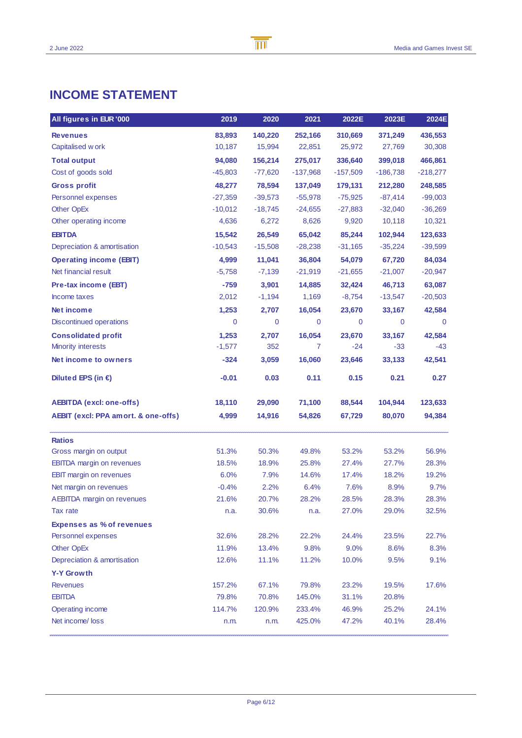# **INCOME STATEMENT**

| All figures in EUR '000             | 2019      | 2020      | 2021        | 2022E      | 2023E      | 2024E      |
|-------------------------------------|-----------|-----------|-------------|------------|------------|------------|
| <b>Revenues</b>                     | 83,893    | 140,220   | 252,166     | 310,669    | 371,249    | 436,553    |
| Capitalised w ork                   | 10,187    | 15,994    | 22,851      | 25,972     | 27,769     | 30,308     |
| <b>Total output</b>                 | 94,080    | 156,214   | 275,017     | 336,640    | 399,018    | 466,861    |
| Cost of goods sold                  | $-45,803$ | $-77,620$ | $-137,968$  | $-157,509$ | $-186,738$ | $-218,277$ |
| <b>Gross profit</b>                 | 48,277    | 78,594    | 137,049     | 179,131    | 212,280    | 248,585    |
| Personnel expenses                  | $-27,359$ | $-39,573$ | $-55,978$   | $-75,925$  | $-87,414$  | $-99,003$  |
| Other OpEx                          | $-10,012$ | $-18,745$ | $-24,655$   | $-27,883$  | $-32,040$  | $-36,269$  |
| Other operating income              | 4,636     | 6,272     | 8,626       | 9,920      | 10,118     | 10,321     |
| <b>EBITDA</b>                       | 15,542    | 26,549    | 65,042      | 85,244     | 102,944    | 123,633    |
| Depreciation & amortisation         | $-10,543$ | $-15,508$ | $-28,238$   | $-31,165$  | $-35,224$  | $-39,599$  |
| <b>Operating income (EBIT)</b>      | 4,999     | 11,041    | 36,804      | 54,079     | 67,720     | 84,034     |
| Net financial result                | $-5,758$  | $-7,139$  | $-21,919$   | $-21,655$  | $-21,007$  | $-20,947$  |
| Pre-tax income (EBT)                | -759      | 3,901     | 14,885      | 32,424     | 46,713     | 63,087     |
| Income taxes                        | 2,012     | $-1,194$  | 1,169       | $-8,754$   | $-13,547$  | $-20,503$  |
| Net income                          | 1,253     | 2,707     | 16,054      | 23,670     | 33,167     | 42,584     |
| <b>Discontinued operations</b>      | 0         | 0         | $\mathbf 0$ | 0          | 0          | 0          |
| <b>Consolidated profit</b>          | 1,253     | 2,707     | 16,054      | 23,670     | 33,167     | 42,584     |
| <b>Minority interests</b>           | $-1,577$  | 352       | 7           | $-24$      | $-33$      | $-43$      |
| Net income to owners                | $-324$    | 3,059     | 16,060      | 23,646     | 33,133     | 42,541     |
| Diluted EPS (in $\epsilon$ )        | $-0.01$   | 0.03      | 0.11        | 0.15       | 0.21       | 0.27       |
| <b>AEBITDA</b> (excl: one-offs)     | 18,110    | 29,090    | 71,100      | 88,544     | 104,944    | 123,633    |
| AEBIT (excl: PPA amort. & one-offs) | 4,999     | 14,916    | 54,826      | 67,729     | 80,070     | 94,384     |
| <b>Ratios</b>                       |           |           |             |            |            |            |
| Gross margin on output              | 51.3%     | 50.3%     | 49.8%       | 53.2%      | 53.2%      | 56.9%      |
| <b>EBITDA</b> margin on revenues    | 18.5%     | 18.9%     | 25.8%       | 27.4%      | 27.7%      | 28.3%      |
| <b>EBIT</b> margin on revenues      | 6.0%      | 7.9%      | 14.6%       | 17.4%      | 18.2%      | 19.2%      |
| Net margin on revenues              | $-0.4%$   | 2.2%      | 6.4%        | 7.6%       | 8.9%       | 9.7%       |
| <b>AEBITDA</b> margin on revenues   | 21.6%     | 20.7%     | 28.2%       | 28.5%      | 28.3%      | 28.3%      |
| Tax rate                            | n.a.      | 30.6%     | n.a.        | 27.0%      | 29.0%      | 32.5%      |
| <b>Expenses as % of revenues</b>    |           |           |             |            |            |            |
| Personnel expenses                  | 32.6%     | 28.2%     | 22.2%       | 24.4%      | 23.5%      | 22.7%      |
| Other OpEx                          | 11.9%     | 13.4%     | 9.8%        | 9.0%       | 8.6%       | 8.3%       |
| Depreciation & amortisation         | 12.6%     | 11.1%     | 11.2%       | 10.0%      | 9.5%       | 9.1%       |
| <b>Y-Y Growth</b>                   |           |           |             |            |            |            |
| <b>Revenues</b>                     | 157.2%    | 67.1%     | 79.8%       | 23.2%      | 19.5%      | 17.6%      |
| <b>EBITDA</b>                       | 79.8%     | 70.8%     | 145.0%      | 31.1%      | 20.8%      |            |
| Operating income                    | 114.7%    | 120.9%    | 233.4%      | 46.9%      | 25.2%      | 24.1%      |
| Net income/loss                     | n.m.      | n.m.      | 425.0%      | 47.2%      | 40.1%      | 28.4%      |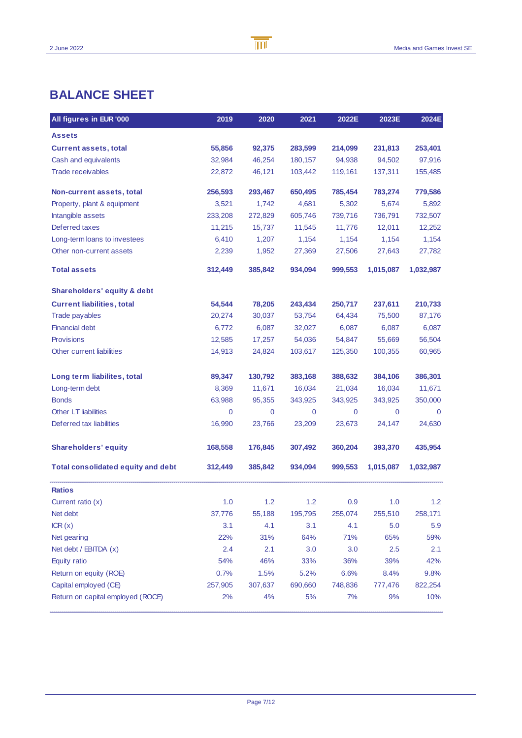# **BALANCE SHEET**

| All figures in EUR '000                   | 2019        | 2020    | 2021    | 2022E   | 2023E        | 2024E       |
|-------------------------------------------|-------------|---------|---------|---------|--------------|-------------|
| <b>Assets</b>                             |             |         |         |         |              |             |
| <b>Current assets, total</b>              | 55,856      | 92,375  | 283,599 | 214,099 | 231,813      | 253,401     |
| Cash and equivalents                      | 32,984      | 46,254  | 180,157 | 94,938  | 94,502       | 97,916      |
| <b>Trade receivables</b>                  | 22,872      | 46,121  | 103,442 | 119,161 | 137,311      | 155,485     |
| Non-current assets, total                 | 256,593     | 293,467 | 650,495 | 785,454 | 783,274      | 779,586     |
| Property, plant & equipment               | 3,521       | 1,742   | 4,681   | 5,302   | 5,674        | 5,892       |
| Intangible assets                         | 233,208     | 272,829 | 605,746 | 739,716 | 736,791      | 732,507     |
| Deferred taxes                            | 11,215      | 15,737  | 11,545  | 11,776  | 12,011       | 12,252      |
| Long-term loans to investees              | 6,410       | 1,207   | 1,154   | 1,154   | 1,154        | 1,154       |
| Other non-current assets                  | 2,239       | 1,952   | 27,369  | 27,506  | 27,643       | 27,782      |
| <b>Total assets</b>                       | 312,449     | 385,842 | 934,094 | 999,553 | 1,015,087    | 1,032,987   |
| Shareholders' equity & debt               |             |         |         |         |              |             |
| <b>Current liabilities, total</b>         | 54,544      | 78,205  | 243,434 | 250,717 | 237,611      | 210,733     |
| <b>Trade payables</b>                     | 20,274      | 30,037  | 53,754  | 64,434  | 75,500       | 87,176      |
| <b>Financial debt</b>                     | 6,772       | 6,087   | 32,027  | 6,087   | 6,087        | 6,087       |
| <b>Provisions</b>                         | 12,585      | 17,257  | 54,036  | 54,847  | 55,669       | 56,504      |
| Other current liabilities                 | 14,913      | 24,824  | 103,617 | 125,350 | 100,355      | 60,965      |
| Long term liabilites, total               | 89,347      | 130,792 | 383,168 | 388,632 | 384,106      | 386,301     |
| Long-term debt                            | 8,369       | 11,671  | 16,034  | 21,034  | 16,034       | 11,671      |
| <b>Bonds</b>                              | 63,988      | 95,355  | 343,925 | 343,925 | 343,925      | 350,000     |
| <b>Other LT liabilities</b>               | $\mathbf 0$ | 0       | 0       | 0       | $\mathbf{0}$ | $\mathbf 0$ |
| Deferred tax liabilities                  | 16,990      | 23,766  | 23,209  | 23,673  | 24,147       | 24,630      |
| <b>Shareholders' equity</b>               | 168,558     | 176,845 | 307,492 | 360,204 | 393,370      | 435,954     |
| <b>Total consolidated equity and debt</b> | 312,449     | 385,842 | 934,094 | 999,553 | 1,015,087    | 1,032,987   |
| <b>Ratios</b>                             |             |         |         |         |              |             |
| Current ratio $(x)$                       | 1.0         | 1.2     | 1.2     | 0.9     | 1.0          | 1.2         |
| Net debt                                  | 37,776      | 55,188  | 195,795 | 255,074 | 255,510      | 258,171     |
| ICR(x)                                    | 3.1         | 4.1     | 3.1     | 4.1     | 5.0          | 5.9         |
| Net gearing                               | 22%         | 31%     | 64%     | 71%     | 65%          | 59%         |
| Net debt / EBITDA $(x)$                   | 2.4         | 2.1     | 3.0     | 3.0     | 2.5          | 2.1         |
| Equity ratio                              | 54%         | 46%     | 33%     | 36%     | 39%          | 42%         |
| Return on equity (ROE)                    | 0.7%        | 1.5%    | 5.2%    | 6.6%    | 8.4%         | 9.8%        |
| Capital employed (CE)                     | 257,905     | 307,637 | 690,660 | 748,836 | 777,476      | 822,254     |
| Return on capital employed (ROCE)         | 2%          | 4%      | 5%      | 7%      | 9%           | 10%         |

B

 $\overline{\mathbb{m}}$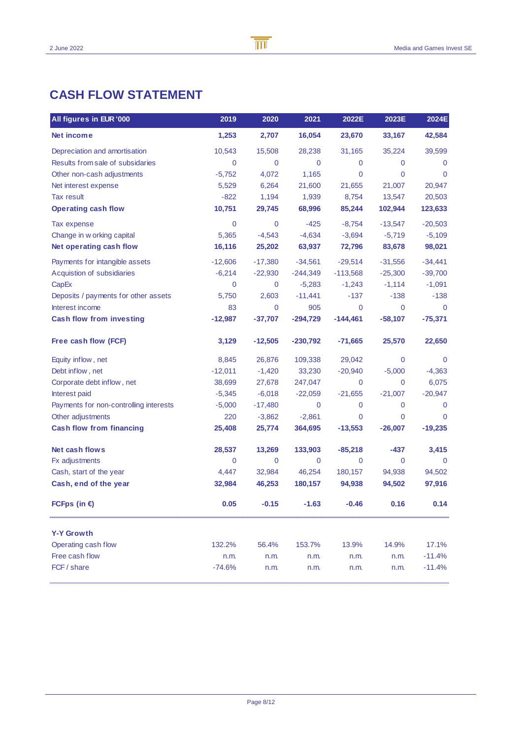| All figures in EUR '000                | 2019        | 2020        | 2021        | 2022E      | 2023E       | 2024E       |
|----------------------------------------|-------------|-------------|-------------|------------|-------------|-------------|
| Net income                             | 1,253       | 2,707       | 16,054      | 23,670     | 33,167      | 42,584      |
| Depreciation and amortisation          | 10,543      | 15,508      | 28,238      | 31,165     | 35,224      | 39,599      |
| Results from sale of subsidaries       | $\mathbf 0$ | 0           | $\mathbf 0$ | 0          | 0           | 0           |
| Other non-cash adjustments             | $-5,752$    | 4,072       | 1,165       | 0          | 0           | $\Omega$    |
| Net interest expense                   | 5,529       | 6,264       | 21,600      | 21,655     | 21,007      | 20,947      |
| Tax result                             | $-822$      | 1,194       | 1,939       | 8,754      | 13,547      | 20,503      |
| <b>Operating cash flow</b>             | 10,751      | 29,745      | 68,996      | 85,244     | 102,944     | 123,633     |
| Tax expense                            | $\mathbf 0$ | $\mathbf 0$ | $-425$      | $-8,754$   | $-13,547$   | $-20,503$   |
| Change in w orking capital             | 5,365       | $-4,543$    | $-4,634$    | $-3,694$   | $-5,719$    | $-5,109$    |
| Net operating cash flow                | 16,116      | 25,202      | 63,937      | 72,796     | 83,678      | 98,021      |
| Payments for intangible assets         | $-12,606$   | $-17,380$   | $-34,561$   | $-29,514$  | $-31,556$   | $-34,441$   |
| Acquistion of subsidiaries             | $-6,214$    | $-22,930$   | $-244,349$  | $-113,568$ | $-25,300$   | $-39,700$   |
| CapEx                                  | $\mathbf 0$ | 0           | $-5,283$    | $-1,243$   | $-1,114$    | $-1,091$    |
| Deposits / payments for other assets   | 5,750       | 2,603       | $-11,441$   | $-137$     | $-138$      | $-138$      |
| Interest income                        | 83          | 0           | 905         | 0          | $\mathbf 0$ | $\Omega$    |
| <b>Cash flow from investing</b>        | $-12,987$   | $-37,707$   | $-294,729$  | $-144,461$ | $-58,107$   | $-75,371$   |
| Free cash flow (FCF)                   | 3,129       | $-12,505$   | $-230,792$  | $-71,665$  | 25,570      | 22,650      |
| Equity inflow, net                     | 8,845       | 26,876      | 109,338     | 29,042     | 0           | $\mathbf 0$ |
| Debt inflow, net                       | $-12,011$   | $-1,420$    | 33,230      | $-20,940$  | $-5,000$    | $-4,363$    |
| Corporate debt inflow, net             | 38,699      | 27,678      | 247,047     | 0          | $\Omega$    | 6,075       |
| Interest paid                          | $-5,345$    | $-6,018$    | $-22,059$   | $-21,655$  | $-21,007$   | $-20,947$   |
| Payments for non-controlling interests | $-5,000$    | $-17,480$   | 0           | 0          | 0           | 0           |
| Other adjustments                      | 220         | $-3,862$    | $-2,861$    | 0          | 0           | $\Omega$    |
| <b>Cash flow from financing</b>        | 25,408      | 25,774      | 364,695     | $-13,553$  | $-26,007$   | $-19,235$   |
| Net cash flows                         | 28,537      | 13,269      | 133,903     | $-85,218$  | $-437$      | 3,415       |
| Fx adjustments                         | $\mathbf 0$ | 0           | 0           | 0          | 0           | $\mathbf 0$ |
| Cash, start of the year                | 4,447       | 32,984      | 46,254      | 180,157    | 94,938      | 94,502      |
| Cash, end of the year                  | 32,984      | 46,253      | 180,157     | 94,938     | 94,502      | 97,916      |
| FCFps (in $\in$ )                      | 0.05        | $-0.15$     | $-1.63$     | $-0.46$    | 0.16        | 0.14        |
| <b>Y-Y Growth</b>                      |             |             |             |            |             |             |
| Operating cash flow                    | 132.2%      | 56.4%       | 153.7%      | 13.9%      | 14.9%       | 17.1%       |
| Free cash flow                         | n.m.        | n.m.        | n.m.        | n.m.       | n.m.        | $-11.4%$    |
| FCF / share                            | $-74.6%$    | n.m.        | n.m.        | n.m.       | n.m.        | $-11.4%$    |

B

 $\overline{\mathbb{m}}$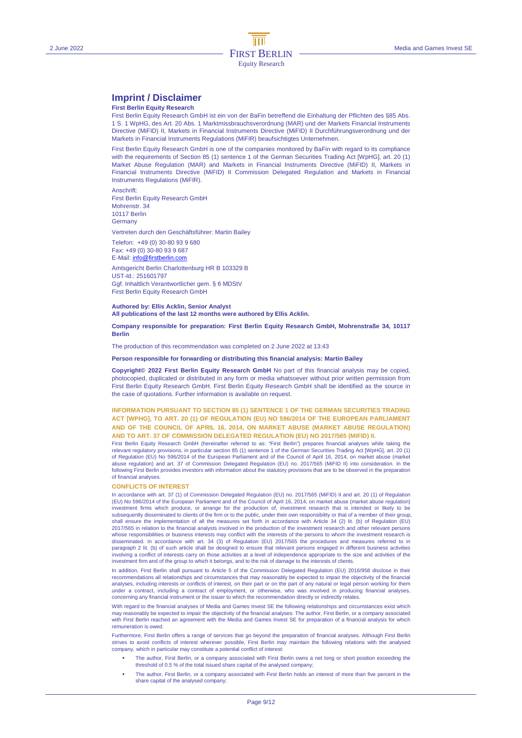# **Imprint / Disclaimer**

## **First Berlin Equity Research**

First Berlin Equity Research GmbH ist ein von der BaFin betreffend die Einhaltung der Pflichten des §85 Abs. 1 S. 1 WpHG, des Art. 20 Abs. 1 Marktmissbrauchsverordnung (MAR) und der Markets Financial Instruments Directive (MiFID) II, Markets in Financial Instruments Directive (MiFID) II Durchführungsverordnung und der Markets in Financial Instruments Regulations (MiFIR) beaufsichtigtes Unternehmen.

First Berlin Equity Research GmbH is one of the companies monitored by BaFin with regard to its compliance with the requirements of Section 85 (1) sentence 1 of the German Securities Trading Act [WpHG], art. 20 (1) Market Abuse Regulation (MAR) and Markets in Financial Instruments Directive (MiFID) II, Markets in Financial Instruments Directive (MiFID) II Commission Delegated Regulation and Markets in Financial Instruments Regulations (MiFIR).

Anschrift: First Berlin Equity Research GmbH Mohrenstr. 34 10117 Berlin **Germany** 

Vertreten durch den Geschäftsführer: Martin Bailey

Telefon: +49 (0) 30-80 93 9 680 Fax: +49 (0) 30-80 93 9 687

E-Mail: info@firstberlin.com Amtsgericht Berlin Charlottenburg HR B 103329 B UST-Id.: 251601797

Ggf. Inhaltlich Verantwortlicher gem. § 6 MDStV First Berlin Equity Research GmbH

### **Authored by: Ellis Acklin, Senior Analyst All publications of the last 12 months were authored by Ellis Acklin.**

### **Company responsible for preparation: First Berlin Equity Research GmbH, Mohrenstraße 34, 10117 Berlin**

The production of this recommendation was completed on 2 June 2022 at 13:43

## **Person responsible for forwarding or distributing this financial analysis: Martin Bailey**

**Copyright© 2022 First Berlin Equity Research GmbH** No part of this financial analysis may be copied, photocopied, duplicated or distributed in any form or media whatsoever without prior written permission from First Berlin Equity Research GmbH. First Berlin Equity Research GmbH shall be identified as the source in the case of quotations. Further information is available on request.

## **INFORMATION PURSUANT TO SECTION 85 (1) SENTENCE 1 OF THE GERMAN SECURITIES TRADING ACT [WPHG], TO ART. 20 (1) OF REGULATION (EU) NO 596/2014 OF THE EUROPEAN PARLIAMENT AND OF THE COUNCIL OF APRIL 16, 2014, ON MARKET ABUSE (MARKET ABUSE REGULATION) AND TO ART. 37 OF COMMISSION DELEGATED REGULATION (EU) NO 2017/565 (MIFID) II.**

First Berlin Equity Research GmbH (hereinafter referred to as: "First Berlin") prepares financial analyses while taking the relevant regulatory provisions, in particular section 85 (1) sentence 1 of the German Securities Trading Act [WpHG], art. 20 (1) of Regulation (EU) No 596/2014 of the European Parliament and of the Council of April 16, 2014, on market abuse (market abuse regulation) and art. 37 of Commission Delegated Regulation (EU) no. 2017/565 (MiFID II) into consideration. In the following First Berlin provides investors with information about the statutory provisions that are to be observed in the preparation of financial analyses.

#### **CONFLICTS OF INTEREST**

In accordance with art. 37 (1) of Commission Delegated Regulation (EU) no. 2017/565 (MiFID) II and art. 20 (1) of Regulation (EU) No 596/2014 of the European Parliament and of the Council of April 16, 2014, on market abuse (market abuse regulation) investment firms which produce, or arrange for the production of, investment research that is intended or likely to be<br>subsequently disseminated to clients of the firm or to the public, under their own responsibility or th shall ensure the implementation of all the measures set forth in accordance with Article 34 (2) lit. (b) of Regulation (EU) 2017/565 in relation to the financial analysts involved in the production of the investment research and other relevant persons whose responsibilities or business interests may conflict with the interests of the persons to whom the investment research is disseminated. In accordance with art. 34 (3) of Regulation (EU) 2017/565 the procedures and measures referred to in paragraph 2 lit. (b) of such article shall be designed to ensure that relevant persons engaged in different business activities involving a conflict of interests carry on those activities at a level of independence appropriate to the size and activities of the investment firm and of the group to which it belongs, and to the risk of damage to the interests of clients.

In addition, First Berlin shall pursuant to Article 5 of the Commission Delegated Regulation (EU) 2016/958 disclose in their recommendations all relationships and circumstances that may reasonably be expected to impair the objectivity of the financial<br>analyses, including interests or conflicts of interest, on their part or on the part of any nat under a contract, including a contract of employment, or otherwise, who was involved in producing financial analyses, concerning any financial instrument or the issuer to which the recommendation directly or indirectly relates.

With regard to the financial analyses of Media and Games Invest SE the following relationships and circumstances exist which may reasonably be expected to impair the objectivity of the financial analyses: The author, First Berlin, or a company associated with First Berlin reached an agreement with the Media and Games Invest SE for preparation of a financial analysis for which remuneration is owed.

Furthermore, First Berlin offers a range of services that go beyond the preparation of financial analyses. Although First Berlin<br>strives to avoid conflicts of interest wherever possible, First Berlin may maintain the follo company, which in particular may constitute a potential conflict of interest:

- The author, First Berlin, or a company associated with First Berlin owns a net long or short position exceeding the threshold of 0.5 % of the total issued share capital of the analysed company;
- The author, First Berlin, or a company associated with First Berlin holds an interest of more than five percent in the share capital of the analysed company;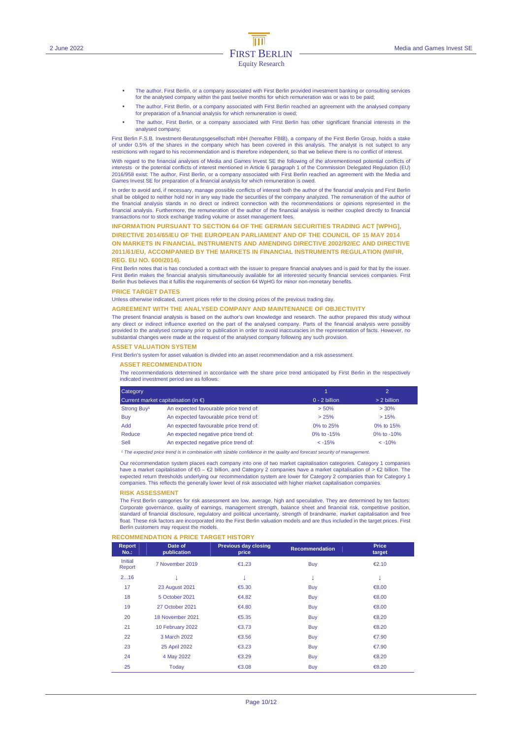- The author, First Berlin, or a company associated with First Berlin provided investment banking or consulting services for the analysed company within the past twelve months for which remuneration was or was to be paid;
- The author, First Berlin, or a company associated with First Berlin reached an agreement with the analysed company for preparation of a financial analysis for which remuneration is owed;
- The author, First Berlin, or a company associated with First Berlin has other significant financial interests in the analysed company;

First Berlin F.S.B. Investment-Beratungsgesellschaft mbH (hereafter FBIB), a company of the First Berlin Group, holds a stake of under 0.5% of the shares in the company which has been covered in this analysis. The analyst is not subject to any restrictions with regard to his recommendation and is therefore independent, so that we believe there is no conflict of interest.

With regard to the financial analyses of Media and Games Invest SE the following of the aforementioned potential conflicts of interests or the potential conflicts of interest mentioned in Article 6 paragraph 1 of the Commission Delegated Regulation (EU) 2016/958 exist: The author, First Berlin, or a company associated with First Berlin reached an agreement with the Media and Games Invest SE for preparation of a financial analysis for which remuneration is owed.

In order to avoid and, if necessary, manage possible conflicts of interest both the author of the financial analysis and First Berlin shall be obliged to neither hold nor in any way trade the securities of the company analyzed. The remuneration of the author of the financial analysis stands in no direct or indirect connection with the recommendations or opinions represented in the financial analysis. Furthermore, the remuneration of the author of the financial analysis is neither coupled directly to financial transactions nor to stock exchange trading volume or asset management fees.

**INFORMATION PURSUANT TO SECTION 64 OF THE GERMAN SECURITIES TRADING ACT [WPHG], DIRECTIVE 2014/65/EU OF THE EUROPEAN PARLIAMENT AND OF THE COUNCIL OF 15 MAY 2014 ON MARKETS IN FINANCIAL INSTRUMENTS AND AMENDING DIRECTIVE 2002/92/EC AND DIRECTIVE 2011/61/EU, ACCOMPANIED BY THE MARKETS IN FINANCIAL INSTRUMENTS REGULATION (MIFIR, REG. EU NO. 600/2014).** 

First Berlin notes that is has concluded a contract with the issuer to prepare financial analyses and is paid for that by the issuer. First Berlin makes the financial analysis simultaneously available for all interested security financial services companies. First Berlin thus believes that it fulfils the requirements of section 64 WpHG for minor non-monetary benefits.

#### **PRICE TARGET DATES**

Unless otherwise indicated, current prices refer to the closing prices of the previous trading day.

#### **AGREEMENT WITH THE ANALYSED COMPANY AND MAINTENANCE OF OBJECTIVITY**

The present financial analysis is based on the author's own knowledge and research. The author prepared this study without any direct or indirect influence exerted on the part of the analysed company. Parts of the financial analysis were possibly provided to the analysed company prior to publication in order to avoid inaccuracies in the representation of facts. However, no substantial changes were made at the request of the analysed company following any such provision.

#### **ASSET VALUATION SYSTEM**

First Berlin's system for asset valuation is divided into an asset recommendation and a risk assessment.

### **ASSET RECOMMENDATION**

The recommendations determined in accordance with the share price trend anticipated by First Berlin in the respectively indicated investment period are as follows:

| Category<br>Current market capitalisation (in $\epsilon$ ) |                                        | ъ               | $\overline{2}$ |  |
|------------------------------------------------------------|----------------------------------------|-----------------|----------------|--|
|                                                            |                                        | $0 - 2$ billion | $> 2$ billion  |  |
| Strong Buy <sup>1</sup>                                    | An expected favourable price trend of: | $> 50\%$        | >30%           |  |
| Buy                                                        | An expected favourable price trend of: | > 25%           | >15%           |  |
| <b>Add</b>                                                 | An expected favourable price trend of: | 0% to 25%       | 0% to 15%      |  |
| Reduce                                                     | An expected negative price trend of:   | 0% to -15%      | 0% to $-10%$   |  |
| Sell                                                       | An expected negative price trend of:   | $< -15%$        | $< -10%$       |  |

<sup>1</sup> The expected price trend is in combination with sizable confidence in the quality and forecast security of manag

Our recommendation system places each company into one of two market capitalisation categories. Category 1 companies have a market capitalisation of €0 – €2 billion, and Category 2 companies have a market capitalisation of > €2 billion. The expected return thresholds underlying our recommendation system are lower for Category 2 companies than for Category 1 companies. This reflects the generally lower level of risk associated with higher market capitalisation companies.

#### **RISK ASSESSMENT**

The First Berlin categories for risk assessment are low, average, high and speculative. They are determined by ten factors: Corporate governance, quality of earnings, management strength, balance sheet and financial risk, competitive position, standard of financial disclosure, regulatory and political uncertainty, strength of brandname, market capitalisation and free float. These risk factors are incorporated into the First Berlin valuation models and are thus included in the target prices. First Berlin customers may request the models.

#### **RECOMMENDATION & PRICE TARGET HISTORY**

| <b>Report</b><br>$No.$ : | Date of<br>publication | <b>Previous day closing</b><br>price | <b>Recommendation</b> | <b>Price</b><br>target |
|--------------------------|------------------------|--------------------------------------|-----------------------|------------------------|
| Initial<br>Report        | 7 November 2019        | €1.23                                | <b>Buy</b>            | €2.10                  |
| 216                      |                        | A                                    | v                     | v                      |
| 17                       | <b>23 August 2021</b>  | €5.30                                | <b>Buy</b>            | €8.00                  |
| 18                       | 5 October 2021         | €4.82                                | <b>Buy</b>            | €8.00                  |
| 19                       | 27 October 2021        | €4.80                                | <b>Buy</b>            | €8.00                  |
| 20                       | 18 November 2021       | €5.35                                | <b>Buy</b>            | €8.20                  |
| 21                       | 10 February 2022       | €3.73                                | <b>Buy</b>            | €8.20                  |
| 22                       | 3 March 2022           | €3.56                                | <b>Buy</b>            | €7.90                  |
| 23                       | 25 April 2022          | €3.23                                | <b>Buy</b>            | €7.90                  |
| 24                       | 4 May 2022             | €3.29                                | <b>Buy</b>            | €8.20                  |
| 25                       | Today                  | €3.08                                | <b>Buy</b>            | €8.20                  |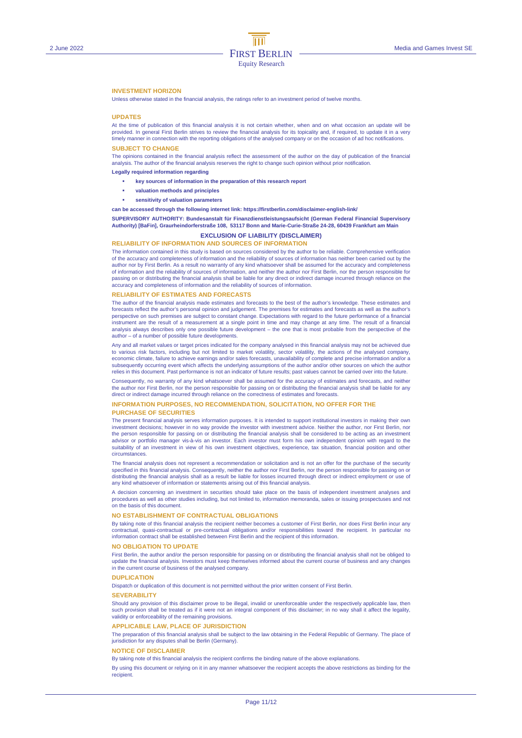### **INVESTMENT HORIZON**

Unless otherwise stated in the financial analysis, the ratings refer to an investment period of twelve months.

#### **UPDATES**

At the time of publication of this financial analysis it is not certain whether, when and on what occasion an update will be provided. In general First Berlin strives to review the financial analysis for its topicality and, if required, to update it in a very timely manner in connection with the reporting obligations of the analysed company or on the occasion of ad hoc notifications.

## **SUBJECT TO CHANGE**

The opinions contained in the financial analysis reflect the assessment of the author on the day of publication of the financial analysis. The author of the financial analysis reserves the right to change such opinion without prior notification.

**Legally required information regarding** 

- **key sources of information in the preparation of this research report**
- **valuation methods and principles**
- **sensitivity of valuation parameters**
- **can be accessed through the following internet link: https://firstberlin.com/disclaimer-english-link/**

**SUPERVISORY AUTHORITY: Bundesanstalt für Finanzdienstleistungsaufsicht (German Federal Financial Supervisory Authority) [BaFin], Graurheindorferstraße 108, 53117 Bonn and Marie-Curie-Straße 24-28, 60439 Frankfurt am Main** 

# **EXCLUSION OF LIABILITY (DISCLAIMER)**

**RELIABILITY OF INFORMATION AND SOURCES OF INFORMATION** 

The information contained in this study is based on sources considered by the author to be reliable. Comprehensive verification of the accuracy and completeness of information and the reliability of sources of information has neither been carried out by the author nor by First Berlin. As a result no warranty of any kind whatsoever shall be assumed for the accuracy and completeness of information and the reliability of sources of information, and neither the author nor First Berlin, nor the person responsible for passing on or distributing the financial analysis shall be liable for any direct or indirect damage incurred through reliance on the accuracy and completeness of information and the reliability of sources of information.

### **RELIABILITY OF ESTIMATES AND FORECASTS**

The author of the financial analysis made estimates and forecasts to the best of the author's knowledge. These estimates and forecasts reflect the author's personal opinion and judgement. The premises for estimates and forecasts as well as the author's perspective on such premises are subject to constant change. Expectations with regard to the future performance of a financial<br>instrument are the result of a measurement at a single point in time and may change at any time analysis always describes only one possible future development – the one that is most probable from the perspective of the author – of a number of possible future developments.

Any and all market values or target prices indicated for the company analysed in this financial analysis may not be achieved due to various risk factors, including but not limited to market volatility, sector volatility, the actions of the analysed company, economic climate, failure to achieve earnings and/or sales forecasts, unavailability of complete and precise information and/or a subsequently occurring event which affects the underlying assumptions of the author and/or other sources on which the author<br>relies in this document. Past performance is not an indicator of future results; past values cann

Consequently, no warranty of any kind whatsoever shall be assumed for the accuracy of estimates and forecasts, and neither the author nor First Berlin, nor the person responsible for passing on or distributing the financial analysis shall be liable for any direct or indirect damage incurred through reliance on the correctness of estimates and forecasts.

### **INFORMATION PURPOSES, NO RECOMMENDATION, SOLICITATION, NO OFFER FOR THE PURCHASE OF SECURITIES**

The present financial analysis serves information purposes. It is intended to support institutional investors in making their own investment decisions; however in no way provide the investor with investment advice. Neither the author, nor First Berlin, nor the person responsible for passing on or distributing the financial analysis shall be considered to be acting as an investment advisor or portfolio manager vis-à-vis an investor. Each investor must form his own independent opinion with regard to the suitability of an investment in view of his own investment objectives, experience, tax situation, financial position and other circumstances.

The financial analysis does not represent a recommendation or solicitation and is not an offer for the purchase of the security specified in this financial analysis. Consequently, neither the author nor First Berlin, nor the person responsible for passing on or distributing the financial analysis shall as a result be liable for losses incurred through direct or indirect employment or use of any kind whatsoever of information or statements arising out of this financial analysis.

A decision concerning an investment in securities should take place on the basis of independent investment analyses and procedures as well as other studies including, but not limited to, information memoranda, sales or issuing prospectuses and not on the basis of this document.

#### **NO ESTABLISHMENT OF CONTRACTUAL OBLIGATIONS**

By taking note of this financial analysis the recipient neither becomes a customer of First Berlin, nor does First Berlin incur any contractual, quasi-contractual or pre-contractual obligations and/or responsibilities toward the recipient. In particular no<br>information contract shall be established between First Berlin and the recipient of this informat

#### **NO OBLIGATION TO UPDATE**

First Berlin, the author and/or the person responsible for passing on or distributing the financial analysis shall not be obliged to update the financial analysis. Investors must keep themselves informed about the current course of business and any changes in the current course of business of the analysed company.

#### **DUPLICATION**

Dispatch or duplication of this document is not permitted without the prior written consent of First Berlin.

#### **SEVERABILITY**

Should any provision of this disclaimer prove to be illegal, invalid or unenforceable under the respectively applicable law, then such provision shall be treated as if it were not an integral component of this disclaimer; in no way shall it affect the legality, validity or enforceability of the remaining provisions.

### **APPLICABLE LAW, PLACE OF JURISDICTION**

The preparation of this financial analysis shall be subject to the law obtaining in the Federal Republic of Germany. The place of jurisdiction for any disputes shall be Berlin (Germany).

#### **NOTICE OF DISCLAIMER**

By taking note of this financial analysis the recipient confirms the binding nature of the above explanations.

By using this document or relying on it in any manner whatsoever the recipient accepts the above restrictions as binding for the recipient.